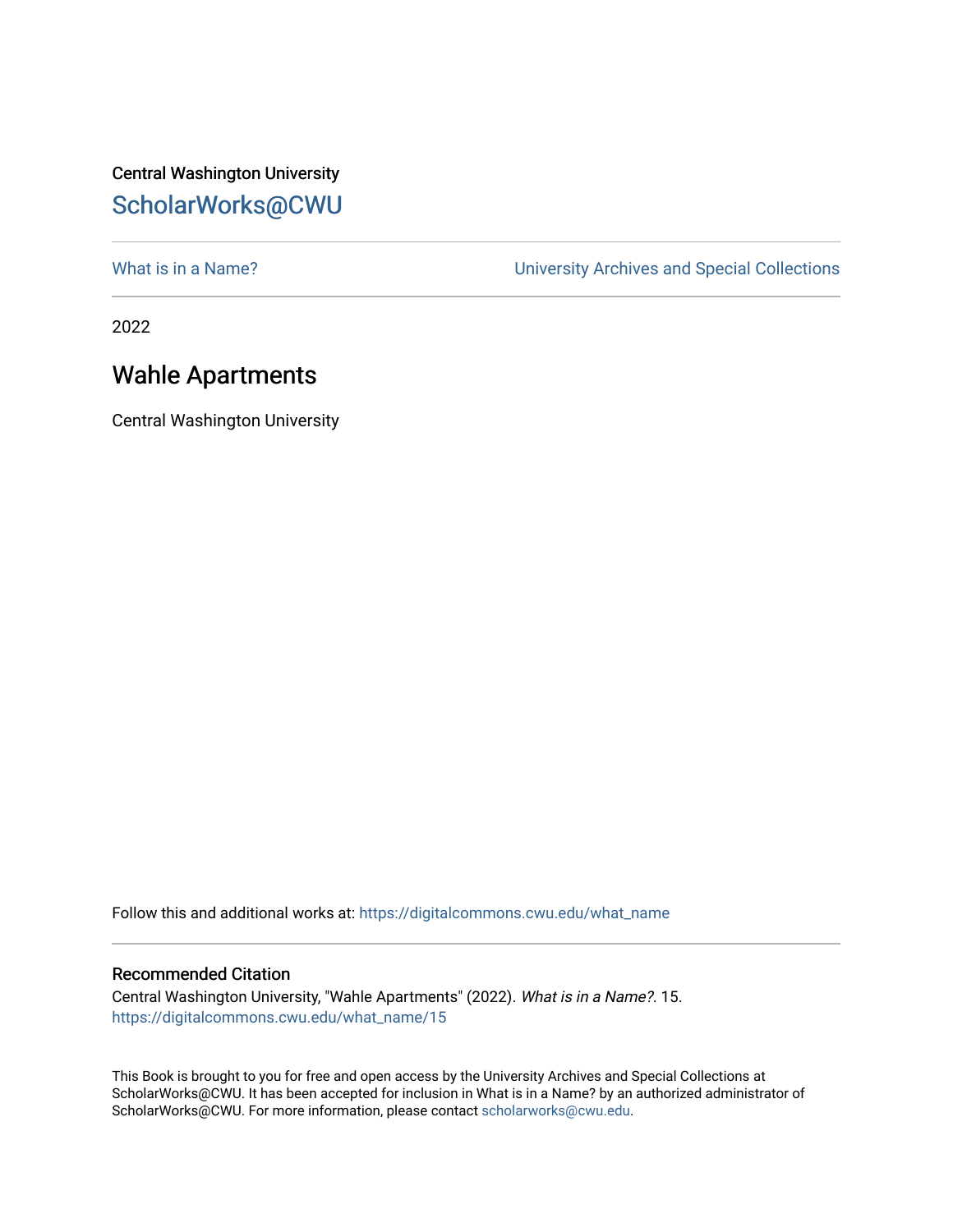## Central Washington University [ScholarWorks@CWU](https://digitalcommons.cwu.edu/)

[What is in a Name?](https://digitalcommons.cwu.edu/what_name) **What is in a Name?** University Archives and Special Collections

2022

## Wahle Apartments

Central Washington University

Follow this and additional works at: [https://digitalcommons.cwu.edu/what\\_name](https://digitalcommons.cwu.edu/what_name?utm_source=digitalcommons.cwu.edu%2Fwhat_name%2F15&utm_medium=PDF&utm_campaign=PDFCoverPages) 

## Recommended Citation

Central Washington University, "Wahle Apartments" (2022). What is in a Name?. 15. [https://digitalcommons.cwu.edu/what\\_name/15](https://digitalcommons.cwu.edu/what_name/15?utm_source=digitalcommons.cwu.edu%2Fwhat_name%2F15&utm_medium=PDF&utm_campaign=PDFCoverPages) 

This Book is brought to you for free and open access by the University Archives and Special Collections at ScholarWorks@CWU. It has been accepted for inclusion in What is in a Name? by an authorized administrator of ScholarWorks@CWU. For more information, please contact [scholarworks@cwu.edu](mailto:scholarworks@cwu.edu).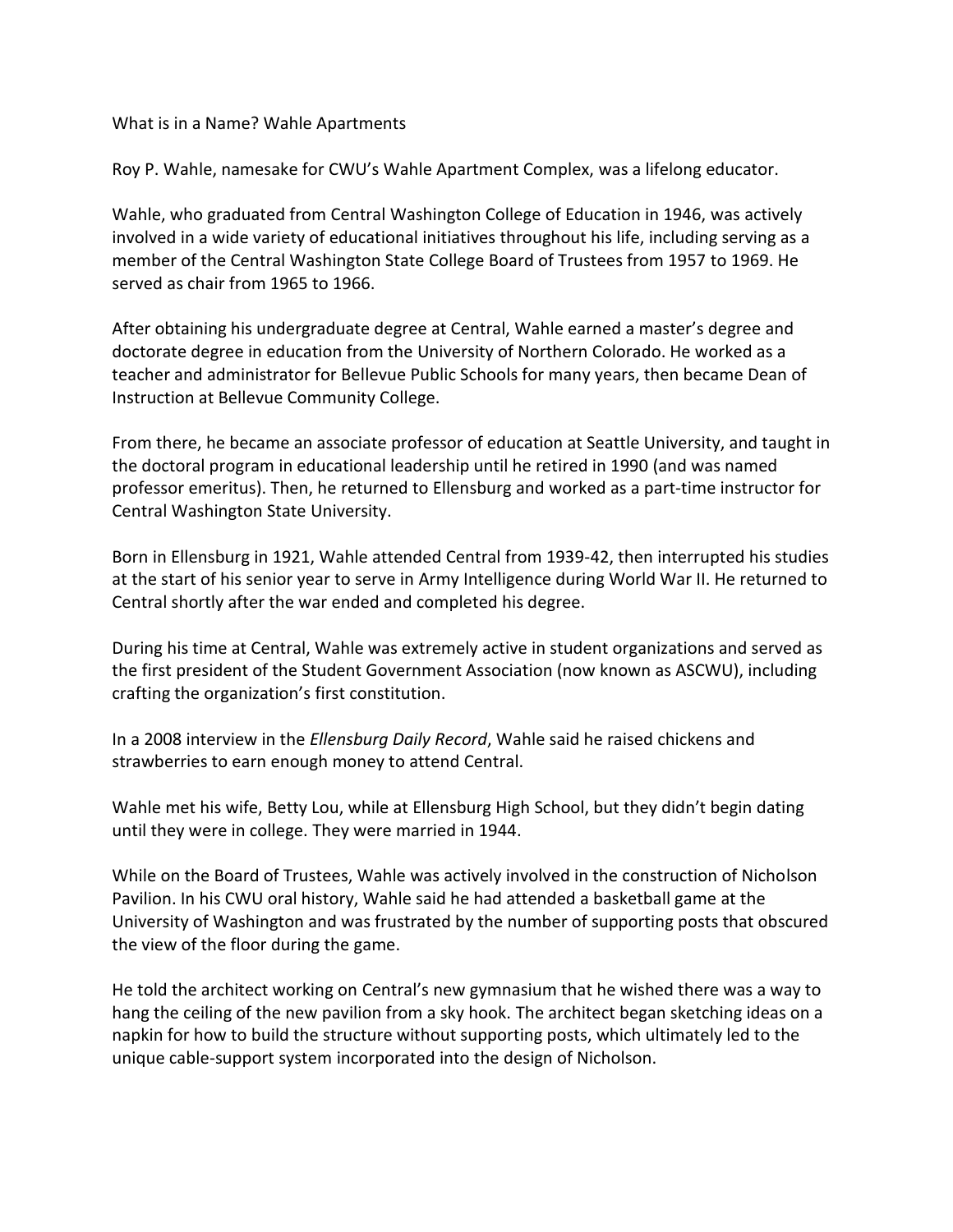What is in a Name? Wahle Apartments

Roy P. Wahle, namesake for CWU's Wahle Apartment Complex, was a lifelong educator.

Wahle, who graduated from Central Washington College of Education in 1946, was actively involved in a wide variety of educational initiatives throughout his life, including serving as a member of the Central Washington State College Board of Trustees from 1957 to 1969. He served as chair from 1965 to 1966.

After obtaining his undergraduate degree at Central, Wahle earned a master's degree and doctorate degree in education from the University of Northern Colorado. He worked as a teacher and administrator for Bellevue Public Schools for many years, then became Dean of Instruction at Bellevue Community College.

From there, he became an associate professor of education at Seattle University, and taught in the doctoral program in educational leadership until he retired in 1990 (and was named professor emeritus). Then, he returned to Ellensburg and worked as a part-time instructor for Central Washington State University.

Born in Ellensburg in 1921, Wahle attended Central from 1939-42, then interrupted his studies at the start of his senior year to serve in Army Intelligence during World War II. He returned to Central shortly after the war ended and completed his degree.

During his time at Central, Wahle was extremely active in student organizations and served as the first president of the Student Government Association (now known as ASCWU), including crafting the organization's first constitution.

In a 2008 interview in the *Ellensburg Daily Record*, Wahle said he raised chickens and strawberries to earn enough money to attend Central.

Wahle met his wife, Betty Lou, while at Ellensburg High School, but they didn't begin dating until they were in college. They were married in 1944.

While on the Board of Trustees, Wahle was actively involved in the construction of Nicholson Pavilion. In his CWU oral history, Wahle said he had attended a basketball game at the University of Washington and was frustrated by the number of supporting posts that obscured the view of the floor during the game.

He told the architect working on Central's new gymnasium that he wished there was a way to hang the ceiling of the new pavilion from a sky hook. The architect began sketching ideas on a napkin for how to build the structure without supporting posts, which ultimately led to the unique cable-support system incorporated into the design of Nicholson.